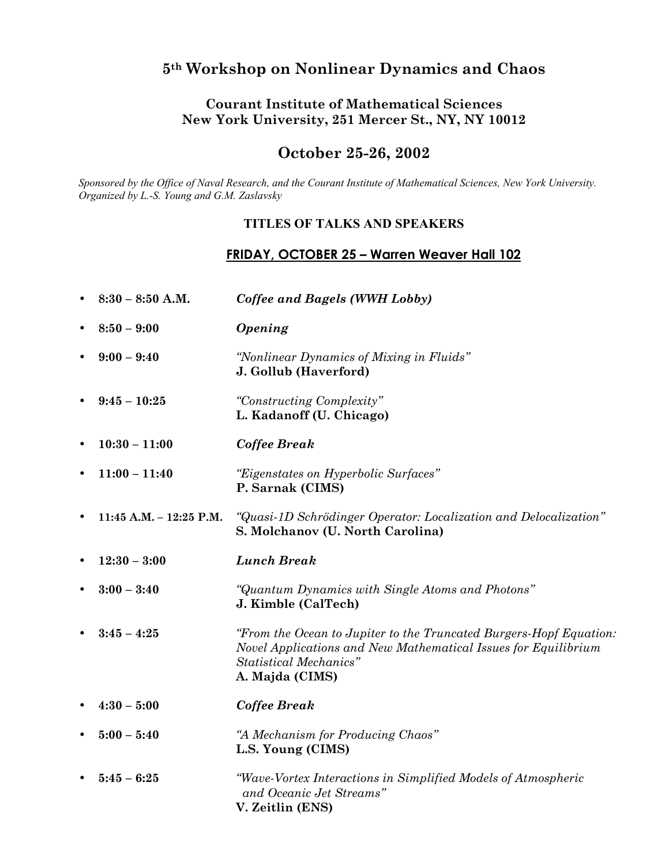# **5th Workshop on Nonlinear Dynamics and Chaos**

#### **Courant Institute of Mathematical Sciences New York University, 251 Mercer St., NY, NY 10012**

### **October 25-26, 2002**

*Sponsored by the Office of Naval Research, and the Courant Institute of Mathematical Sciences, New York University. Organized by L.-S. Young and G.M. Zaslavsky* 

#### **TITLES OF TALKS AND SPEAKERS**

## **FRIDAY, OCTOBER 25 – Warren Weaver Hall 102**

|           | $8:30 - 8:50$ A.M.      | Coffee and Bagels (WWH Lobby)                                                                                                                                                            |
|-----------|-------------------------|------------------------------------------------------------------------------------------------------------------------------------------------------------------------------------------|
|           | $8:50 - 9:00$           | Opening                                                                                                                                                                                  |
|           | $9:00 - 9:40$           | "Nonlinear Dynamics of Mixing in Fluids"<br>J. Gollub (Haverford)                                                                                                                        |
|           | $9:45 - 10:25$          | "Constructing Complexity"<br>L. Kadanoff (U. Chicago)                                                                                                                                    |
| $\bullet$ | $10:30 - 11:00$         | <b>Coffee Break</b>                                                                                                                                                                      |
| $\bullet$ | $11:00 - 11:40$         | "Eigenstates on Hyperbolic Surfaces"<br>P. Sarnak (CIMS)                                                                                                                                 |
|           | 11:45 A.M. - 12:25 P.M. | "Quasi-1D Schrödinger Operator: Localization and Delocalization"<br>S. Molchanov (U. North Carolina)                                                                                     |
|           | $12:30 - 3:00$          | <b>Lunch Break</b>                                                                                                                                                                       |
|           |                         |                                                                                                                                                                                          |
|           | $3:00 - 3:40$           | "Quantum Dynamics with Single Atoms and Photons"<br>J. Kimble (CalTech)                                                                                                                  |
|           | $3:45 - 4:25$           | "From the Ocean to Jupiter to the Truncated Burgers-Hopf Equation:<br>Novel Applications and New Mathematical Issues for Equilibrium<br><b>Statistical Mechanics"</b><br>A. Majda (CIMS) |
|           | $4:30 - 5:00$           | <b>Coffee Break</b>                                                                                                                                                                      |
|           | $5:00 - 5:40$           | "A Mechanism for Producing Chaos"<br>L.S. Young (CIMS)                                                                                                                                   |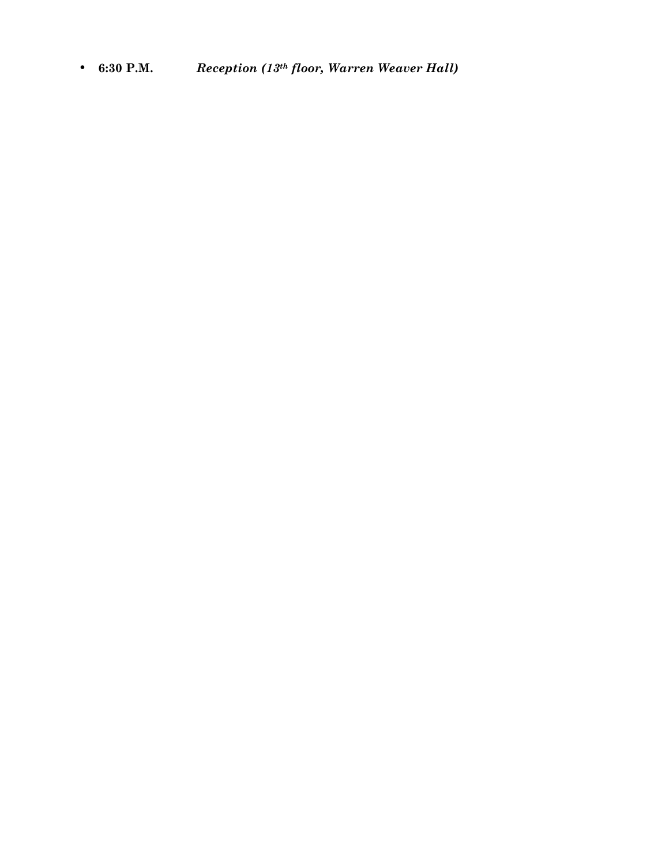• **6:30 P.M.** *Reception (13th floor, Warren Weaver Hall)*